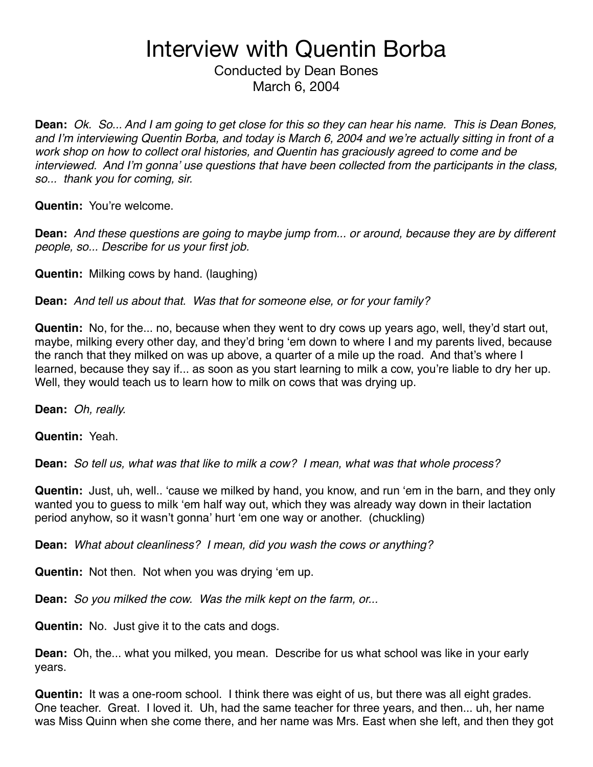Conducted by Dean Bones March 6, 2004

**Dean:** *Ok. So... And I am going to get close for this so they can hear his name. This is Dean Bones, and I*'*m interviewing Quentin Borba, and today is March 6, 2004 and we*'*re actually sitting in front of a work shop on how to collect oral histories, and Quentin has graciously agreed to come and be interviewed. And I*'*m gonna*' *use questions that have been collected from the participants in the class, so... thank you for coming, sir.*

**Quentin:** You're welcome.

**Dean:** *And these questions are going to maybe jump from... or around, because they are by different people, so... Describe for us your first job.*

**Quentin:** Milking cows by hand. (laughing)

**Dean:** *And tell us about that. Was that for someone else, or for your family?*

**Quentin:** No, for the... no, because when they went to dry cows up years ago, well, they'd start out, maybe, milking every other day, and they'd bring ʻem down to where I and my parents lived, because the ranch that they milked on was up above, a quarter of a mile up the road. And that's where I learned, because they say if... as soon as you start learning to milk a cow, you're liable to dry her up. Well, they would teach us to learn how to milk on cows that was drying up.

**Dean:** *Oh, really.*

**Quentin:** Yeah.

**Dean:** *So tell us, what was that like to milk a cow? I mean, what was that whole process?*

**Quentin:** Just, uh, well.. ʻcause we milked by hand, you know, and run ʻem in the barn, and they only wanted you to guess to milk ʻem half way out, which they was already way down in their lactation period anyhow, so it wasn't gonna' hurt ʻem one way or another. (chuckling)

**Dean:** *What about cleanliness? I mean, did you wash the cows or anything?*

**Quentin:** Not then. Not when you was drying ʻem up.

**Dean:** *So you milked the cow. Was the milk kept on the farm, or...*

**Quentin:** No. Just give it to the cats and dogs.

**Dean:** Oh, the... what you milked, you mean. Describe for us what school was like in your early years.

**Quentin:** It was a one-room school. I think there was eight of us, but there was all eight grades. One teacher. Great. I loved it. Uh, had the same teacher for three years, and then... uh, her name was Miss Quinn when she come there, and her name was Mrs. East when she left, and then they got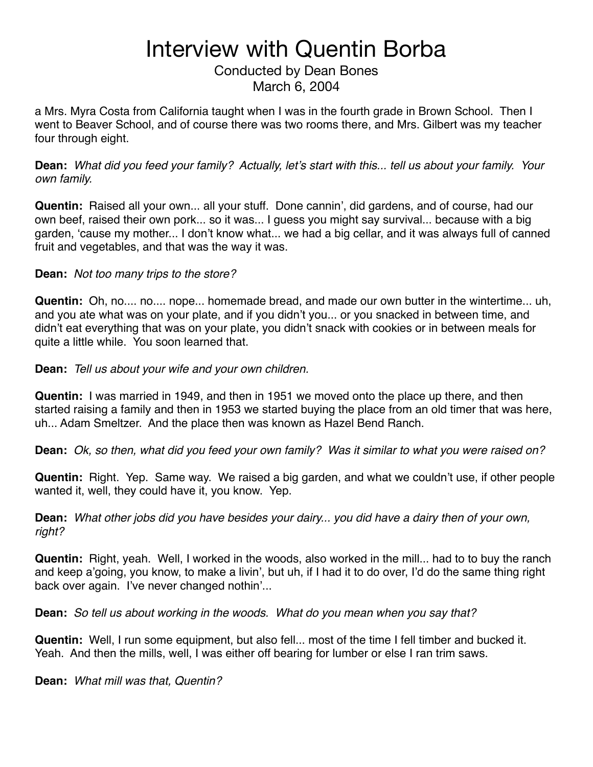Conducted by Dean Bones March 6, 2004

a Mrs. Myra Costa from California taught when I was in the fourth grade in Brown School. Then I went to Beaver School, and of course there was two rooms there, and Mrs. Gilbert was my teacher four through eight.

**Dean:** *What did you feed your family? Actually, let*'*s start with this... tell us about your family. Your own family.*

**Quentin:** Raised all your own... all your stuff. Done cannin', did gardens, and of course, had our own beef, raised their own pork... so it was... I guess you might say survival... because with a big garden, ʻcause my mother... I don't know what... we had a big cellar, and it was always full of canned fruit and vegetables, and that was the way it was.

#### **Dean:** *Not too many trips to the store?*

**Quentin:** Oh, no.... no.... nope... homemade bread, and made our own butter in the wintertime... uh, and you ate what was on your plate, and if you didn't you... or you snacked in between time, and didn't eat everything that was on your plate, you didn't snack with cookies or in between meals for quite a little while. You soon learned that.

**Dean:** *Tell us about your wife and your own children.*

**Quentin:** I was married in 1949, and then in 1951 we moved onto the place up there, and then started raising a family and then in 1953 we started buying the place from an old timer that was here, uh... Adam Smeltzer. And the place then was known as Hazel Bend Ranch.

**Dean:** *Ok, so then, what did you feed your own family? Was it similar to what you were raised on?*

**Quentin:** Right. Yep. Same way. We raised a big garden, and what we couldn't use, if other people wanted it, well, they could have it, you know. Yep.

**Dean:** *What other jobs did you have besides your dairy... you did have a dairy then of your own, right?*

**Quentin:** Right, yeah. Well, I worked in the woods, also worked in the mill... had to to buy the ranch and keep a'going, you know, to make a livin', but uh, if I had it to do over, I'd do the same thing right back over again. I've never changed nothin'...

**Dean:** *So tell us about working in the woods. What do you mean when you say that?*

**Quentin:** Well, I run some equipment, but also fell... most of the time I fell timber and bucked it. Yeah. And then the mills, well, I was either off bearing for lumber or else I ran trim saws.

**Dean:** *What mill was that, Quentin?*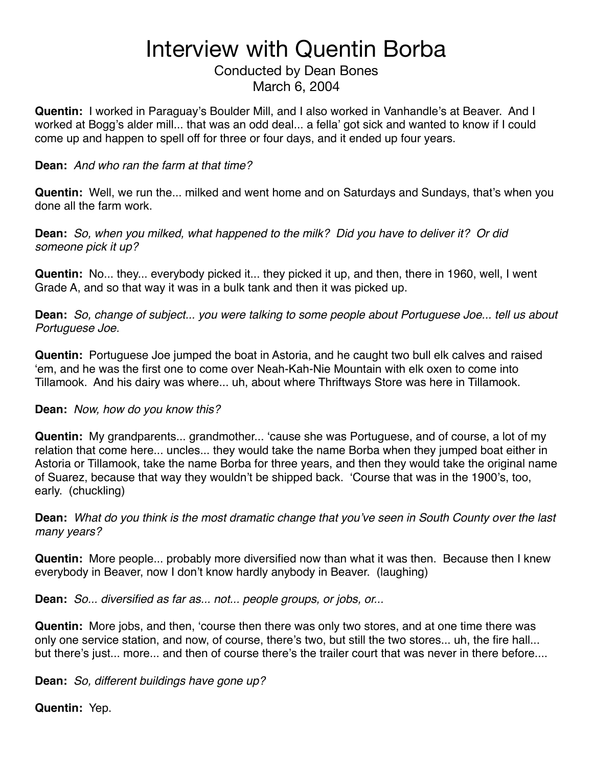Conducted by Dean Bones March 6, 2004

**Quentin:** I worked in Paraguay's Boulder Mill, and I also worked in Vanhandle's at Beaver. And I worked at Bogg's alder mill... that was an odd deal... a fella' got sick and wanted to know if I could come up and happen to spell off for three or four days, and it ended up four years.

#### **Dean:** *And who ran the farm at that time?*

**Quentin:** Well, we run the... milked and went home and on Saturdays and Sundays, that's when you done all the farm work.

**Dean:** *So, when you milked, what happened to the milk? Did you have to deliver it? Or did someone pick it up?*

**Quentin:** No... they... everybody picked it... they picked it up, and then, there in 1960, well, I went Grade A, and so that way it was in a bulk tank and then it was picked up.

**Dean:** *So, change of subject... you were talking to some people about Portuguese Joe... tell us about Portuguese Joe.*

**Quentin:** Portuguese Joe jumped the boat in Astoria, and he caught two bull elk calves and raised ʻem, and he was the first one to come over Neah-Kah-Nie Mountain with elk oxen to come into Tillamook. And his dairy was where... uh, about where Thriftways Store was here in Tillamook.

#### **Dean:** *Now, how do you know this?*

**Quentin:** My grandparents... grandmother... ʻcause she was Portuguese, and of course, a lot of my relation that come here... uncles... they would take the name Borba when they jumped boat either in Astoria or Tillamook, take the name Borba for three years, and then they would take the original name of Suarez, because that way they wouldn't be shipped back. ʻCourse that was in the 1900's, too, early. (chuckling)

**Dean:** *What do you think is the most dramatic change that you*'*ve seen in South County over the last many years?*

**Quentin:** More people... probably more diversified now than what it was then. Because then I knew everybody in Beaver, now I don't know hardly anybody in Beaver. (laughing)

**Dean:** *So... diversified as far as... not... people groups, or jobs, or...*

**Quentin:** More jobs, and then, ʻcourse then there was only two stores, and at one time there was only one service station, and now, of course, there's two, but still the two stores... uh, the fire hall... but there's just... more... and then of course there's the trailer court that was never in there before....

**Dean:** *So, different buildings have gone up?*

**Quentin:** Yep.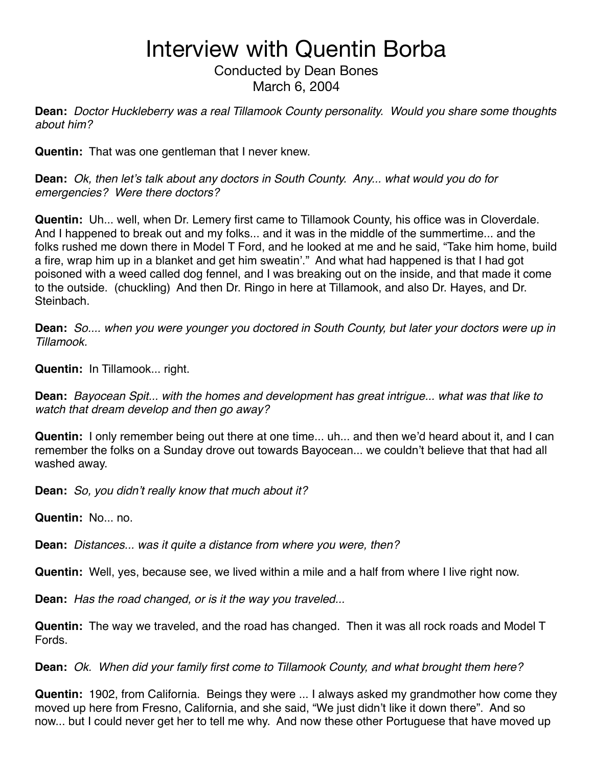Conducted by Dean Bones March 6, 2004

**Dean:** *Doctor Huckleberry was a real Tillamook County personality. Would you share some thoughts about him?*

**Quentin:** That was one gentleman that I never knew.

**Dean:** *Ok, then let*'*s talk about any doctors in South County. Any... what would you do for emergencies? Were there doctors?*

**Quentin:** Uh... well, when Dr. Lemery first came to Tillamook County, his office was in Cloverdale. And I happened to break out and my folks... and it was in the middle of the summertime... and the folks rushed me down there in Model T Ford, and he looked at me and he said, "Take him home, build a fire, wrap him up in a blanket and get him sweatin'." And what had happened is that I had got poisoned with a weed called dog fennel, and I was breaking out on the inside, and that made it come to the outside. (chuckling) And then Dr. Ringo in here at Tillamook, and also Dr. Hayes, and Dr. Steinbach.

**Dean:** *So.... when you were younger you doctored in South County, but later your doctors were up in Tillamook.*

**Quentin:** In Tillamook... right.

**Dean:** *Bayocean Spit... with the homes and development has great intrigue... what was that like to watch that dream develop and then go away?*

**Quentin:** I only remember being out there at one time... uh... and then we'd heard about it, and I can remember the folks on a Sunday drove out towards Bayocean... we couldn't believe that that had all washed away.

**Dean:** *So, you didn*'*t really know that much about it?*

**Quentin:** No... no.

**Dean:** *Distances... was it quite a distance from where you were, then?*

**Quentin:** Well, yes, because see, we lived within a mile and a half from where I live right now.

**Dean:** *Has the road changed, or is it the way you traveled...*

**Quentin:** The way we traveled, and the road has changed. Then it was all rock roads and Model T Fords.

**Dean:** *Ok. When did your family first come to Tillamook County, and what brought them here?*

**Quentin:** 1902, from California. Beings they were ... I always asked my grandmother how come they moved up here from Fresno, California, and she said, "We just didn't like it down there". And so now... but I could never get her to tell me why. And now these other Portuguese that have moved up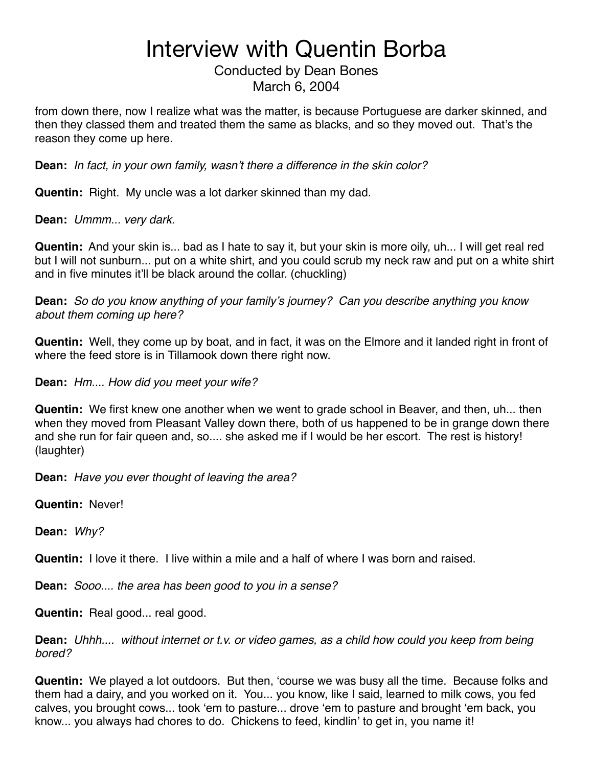Conducted by Dean Bones March 6, 2004

from down there, now I realize what was the matter, is because Portuguese are darker skinned, and then they classed them and treated them the same as blacks, and so they moved out. That's the reason they come up here.

**Dean:** *In fact, in your own family, wasn*'*t there a difference in the skin color?*

**Quentin:** Right. My uncle was a lot darker skinned than my dad.

**Dean:** *Ummm... very dark.*

**Quentin:** And your skin is... bad as I hate to say it, but your skin is more oily, uh... I will get real red but I will not sunburn... put on a white shirt, and you could scrub my neck raw and put on a white shirt and in five minutes it'll be black around the collar. (chuckling)

**Dean:** *So do you know anything of your family*'*s journey? Can you describe anything you know about them coming up here?*

**Quentin:** Well, they come up by boat, and in fact, it was on the Elmore and it landed right in front of where the feed store is in Tillamook down there right now.

**Dean:** *Hm.... How did you meet your wife?*

**Quentin:** We first knew one another when we went to grade school in Beaver, and then, uh... then when they moved from Pleasant Valley down there, both of us happened to be in grange down there and she run for fair queen and, so.... she asked me if I would be her escort. The rest is history! (laughter)

**Dean:** *Have you ever thought of leaving the area?*

**Quentin:** Never!

**Dean:** *Why?*

**Quentin:** I love it there. I live within a mile and a half of where I was born and raised.

**Dean:** *Sooo.... the area has been good to you in a sense?*

**Quentin:** Real good... real good.

**Dean:** *Uhhh.... without internet or t.v. or video games, as a child how could you keep from being bored?*

**Quentin:** We played a lot outdoors. But then, ʻcourse we was busy all the time. Because folks and them had a dairy, and you worked on it. You... you know, like I said, learned to milk cows, you fed calves, you brought cows... took ʻem to pasture... drove ʻem to pasture and brought ʻem back, you know... you always had chores to do. Chickens to feed, kindlin' to get in, you name it!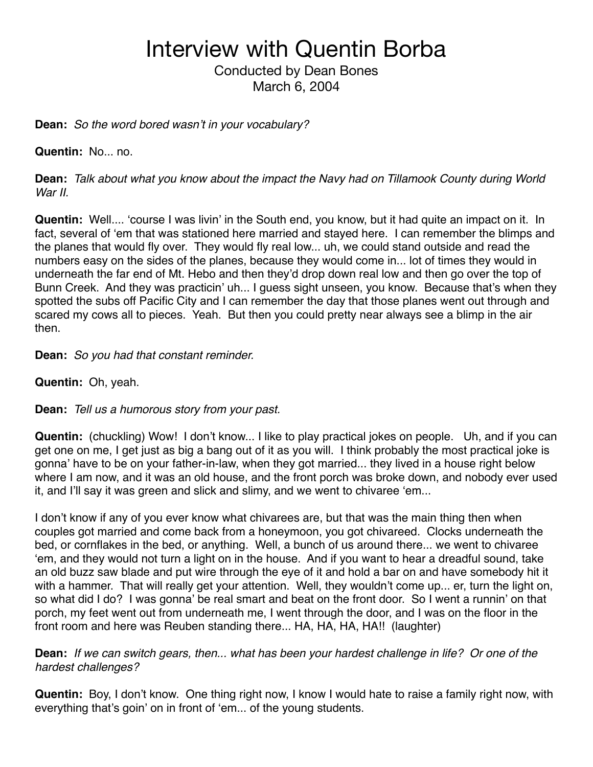Conducted by Dean Bones March 6, 2004

**Dean:** *So the word bored wasn*'*t in your vocabulary?*

**Quentin:** No... no.

**Dean:** *Talk about what you know about the impact the Navy had on Tillamook County during World War II.*

**Quentin:** Well.... ʻcourse I was livin' in the South end, you know, but it had quite an impact on it. In fact, several of ʻem that was stationed here married and stayed here. I can remember the blimps and the planes that would fly over. They would fly real low... uh, we could stand outside and read the numbers easy on the sides of the planes, because they would come in... lot of times they would in underneath the far end of Mt. Hebo and then they'd drop down real low and then go over the top of Bunn Creek. And they was practicin' uh... I guess sight unseen, you know. Because that's when they spotted the subs off Pacific City and I can remember the day that those planes went out through and scared my cows all to pieces. Yeah. But then you could pretty near always see a blimp in the air then.

**Dean:** *So you had that constant reminder.*

**Quentin:** Oh, yeah.

**Dean:** *Tell us a humorous story from your past.*

**Quentin:** (chuckling) Wow! I don't know... I like to play practical jokes on people. Uh, and if you can get one on me, I get just as big a bang out of it as you will. I think probably the most practical joke is gonna' have to be on your father-in-law, when they got married... they lived in a house right below where I am now, and it was an old house, and the front porch was broke down, and nobody ever used it, and I'll say it was green and slick and slimy, and we went to chivaree ʻem...

I don't know if any of you ever know what chivarees are, but that was the main thing then when couples got married and come back from a honeymoon, you got chivareed. Clocks underneath the bed, or cornflakes in the bed, or anything. Well, a bunch of us around there... we went to chivaree ʻem, and they would not turn a light on in the house. And if you want to hear a dreadful sound, take an old buzz saw blade and put wire through the eye of it and hold a bar on and have somebody hit it with a hammer. That will really get your attention. Well, they wouldn't come up... er, turn the light on, so what did I do? I was gonna' be real smart and beat on the front door. So I went a runnin' on that porch, my feet went out from underneath me, I went through the door, and I was on the floor in the front room and here was Reuben standing there... HA, HA, HA, HA!! (laughter)

**Dean:** *If we can switch gears, then... what has been your hardest challenge in life? Or one of the hardest challenges?*

**Quentin:** Boy, I don't know. One thing right now, I know I would hate to raise a family right now, with everything that's goin' on in front of ʻem... of the young students.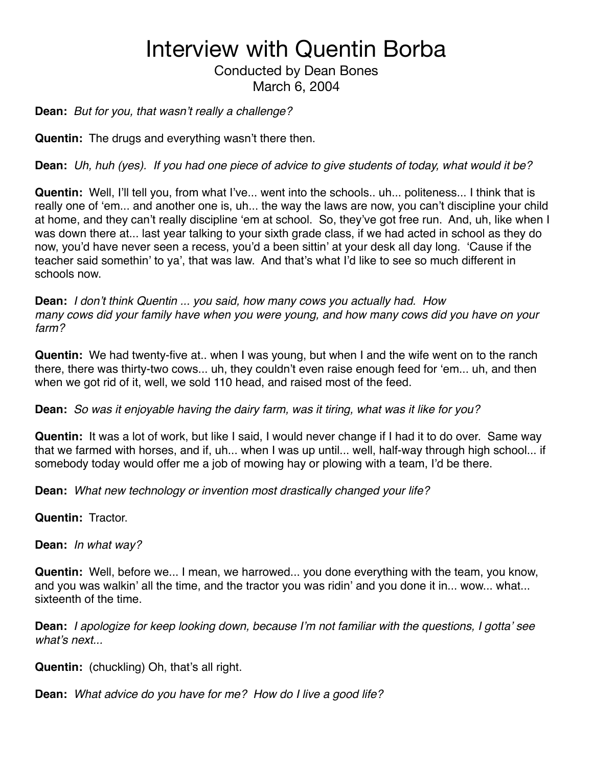#### Conducted by Dean Bones March 6, 2004

#### **Dean:** *But for you, that wasn*'*t really a challenge?*

**Quentin:** The drugs and everything wasn't there then.

**Dean:** *Uh, huh (yes). If you had one piece of advice to give students of today, what would it be?*

**Quentin:** Well, I'll tell you, from what I've... went into the schools.. uh... politeness... I think that is really one of ʻem... and another one is, uh... the way the laws are now, you can't discipline your child at home, and they can't really discipline ʻem at school. So, they've got free run. And, uh, like when I was down there at... last year talking to your sixth grade class, if we had acted in school as they do now, you'd have never seen a recess, you'd a been sittin' at your desk all day long. ʻCause if the teacher said somethin' to ya', that was law. And that's what I'd like to see so much different in schools now.

**Dean:** *I don*'*t think Quentin ... you said, how many cows you actually had. How many cows did your family have when you were young, and how many cows did you have on your farm?*

**Quentin:** We had twenty-five at.. when I was young, but when I and the wife went on to the ranch there, there was thirty-two cows... uh, they couldn't even raise enough feed for ʻem... uh, and then when we got rid of it, well, we sold 110 head, and raised most of the feed.

**Dean:** *So was it enjoyable having the dairy farm, was it tiring, what was it like for you?*

**Quentin:** It was a lot of work, but like I said, I would never change if I had it to do over. Same way that we farmed with horses, and if, uh... when I was up until... well, half-way through high school... if somebody today would offer me a job of mowing hay or plowing with a team, I'd be there.

**Dean:** *What new technology or invention most drastically changed your life?*

**Quentin:** Tractor.

**Dean:** *In what way?*

**Quentin:** Well, before we... I mean, we harrowed... you done everything with the team, you know, and you was walkin' all the time, and the tractor you was ridin' and you done it in... wow... what... sixteenth of the time.

**Dean:** *I apologize for keep looking down, because I*'*m not familiar with the questions, I gotta*' *see what*'*s next...*

**Quentin:** (chuckling) Oh, that's all right.

**Dean:** *What advice do you have for me? How do I live a good life?*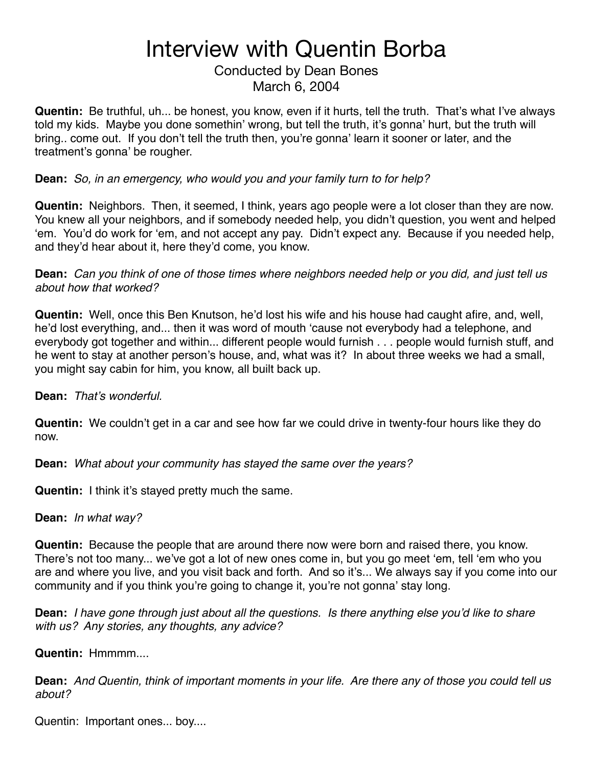Conducted by Dean Bones March 6, 2004

**Quentin:** Be truthful, uh... be honest, you know, even if it hurts, tell the truth. That's what I've always told my kids. Maybe you done somethin' wrong, but tell the truth, it's gonna' hurt, but the truth will bring.. come out. If you don't tell the truth then, you're gonna' learn it sooner or later, and the treatment's gonna' be rougher.

**Dean:** *So, in an emergency, who would you and your family turn to for help?*

**Quentin:** Neighbors. Then, it seemed, I think, years ago people were a lot closer than they are now. You knew all your neighbors, and if somebody needed help, you didn't question, you went and helped ʻem. You'd do work for ʻem, and not accept any pay. Didn't expect any. Because if you needed help, and they'd hear about it, here they'd come, you know.

**Dean:** *Can you think of one of those times where neighbors needed help or you did, and just tell us about how that worked?*

**Quentin:** Well, once this Ben Knutson, he'd lost his wife and his house had caught afire, and, well, he'd lost everything, and... then it was word of mouth ʻcause not everybody had a telephone, and everybody got together and within... different people would furnish . . . people would furnish stuff, and he went to stay at another person's house, and, what was it? In about three weeks we had a small, you might say cabin for him, you know, all built back up.

**Dean:** *That*'*s wonderful.*

**Quentin:** We couldn't get in a car and see how far we could drive in twenty-four hours like they do now.

**Dean:** *What about your community has stayed the same over the years?*

**Quentin:** I think it's stayed pretty much the same.

**Dean:** *In what way?*

**Quentin:** Because the people that are around there now were born and raised there, you know. There's not too many... we've got a lot of new ones come in, but you go meet ʻem, tell ʻem who you are and where you live, and you visit back and forth. And so it's... We always say if you come into our community and if you think you're going to change it, you're not gonna' stay long.

**Dean:** *I have gone through just about all the questions. Is there anything else you*'*d like to share with us? Any stories, any thoughts, any advice?*

**Quentin:** Hmmmm....

**Dean:** *And Quentin, think of important moments in your life. Are there any of those you could tell us about?*

Quentin: Important ones... boy....